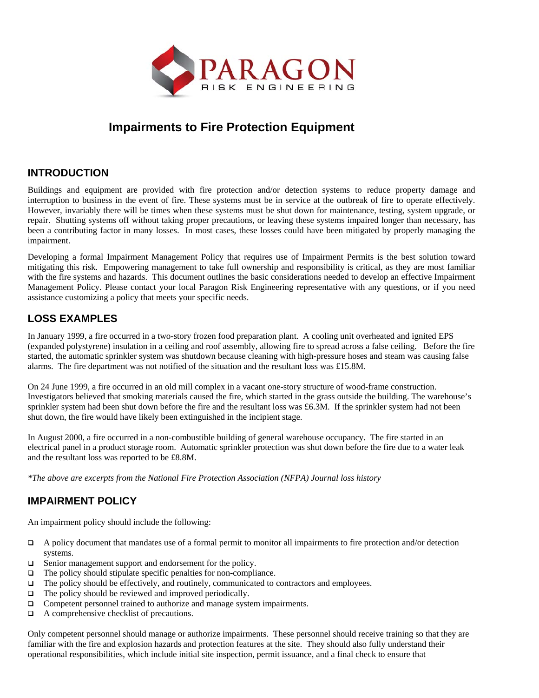

# **Impairments to Fire Protection Equipment**

#### **INTRODUCTION**

Buildings and equipment are provided with fire protection and/or detection systems to reduce property damage and interruption to business in the event of fire. These systems must be in service at the outbreak of fire to operate effectively. However, invariably there will be times when these systems must be shut down for maintenance, testing, system upgrade, or repair. Shutting systems off without taking proper precautions, or leaving these systems impaired longer than necessary, has been a contributing factor in many losses. In most cases, these losses could have been mitigated by properly managing the impairment.

Developing a formal Impairment Management Policy that requires use of Impairment Permits is the best solution toward mitigating this risk. Empowering management to take full ownership and responsibility is critical, as they are most familiar with the fire systems and hazards. This document outlines the basic considerations needed to develop an effective Impairment Management Policy. Please contact your local Paragon Risk Engineering representative with any questions, or if you need assistance customizing a policy that meets your specific needs.

## **LOSS EXAMPLES**

In January 1999, a fire occurred in a two-story frozen food preparation plant. A cooling unit overheated and ignited EPS (expanded polystyrene) insulation in a ceiling and roof assembly, allowing fire to spread across a false ceiling. Before the fire started, the automatic sprinkler system was shutdown because cleaning with high-pressure hoses and steam was causing false alarms. The fire department was not notified of the situation and the resultant loss was £15.8M.

On 24 June 1999, a fire occurred in an old mill complex in a vacant one-story structure of wood-frame construction. Investigators believed that smoking materials caused the fire, which started in the grass outside the building. The warehouse's sprinkler system had been shut down before the fire and the resultant loss was £6.3M. If the sprinkler system had not been shut down, the fire would have likely been extinguished in the incipient stage.

In August 2000, a fire occurred in a non-combustible building of general warehouse occupancy. The fire started in an electrical panel in a product storage room. Automatic sprinkler protection was shut down before the fire due to a water leak and the resultant loss was reported to be £8.8M.

*\*The above are excerpts from the National Fire Protection Association (NFPA) Journal loss history* 

### **IMPAIRMENT POLICY**

An impairment policy should include the following:

- A policy document that mandates use of a formal permit to monitor all impairments to fire protection and/or detection systems.
- □ Senior management support and endorsement for the policy.
- $\Box$  The policy should stipulate specific penalties for non-compliance.
- $\Box$  The policy should be effectively, and routinely, communicated to contractors and employees.
- $\Box$  The policy should be reviewed and improved periodically.
- □ Competent personnel trained to authorize and manage system impairments.
- A comprehensive checklist of precautions.

Only competent personnel should manage or authorize impairments. These personnel should receive training so that they are familiar with the fire and explosion hazards and protection features at the site. They should also fully understand their operational responsibilities, which include initial site inspection, permit issuance, and a final check to ensure that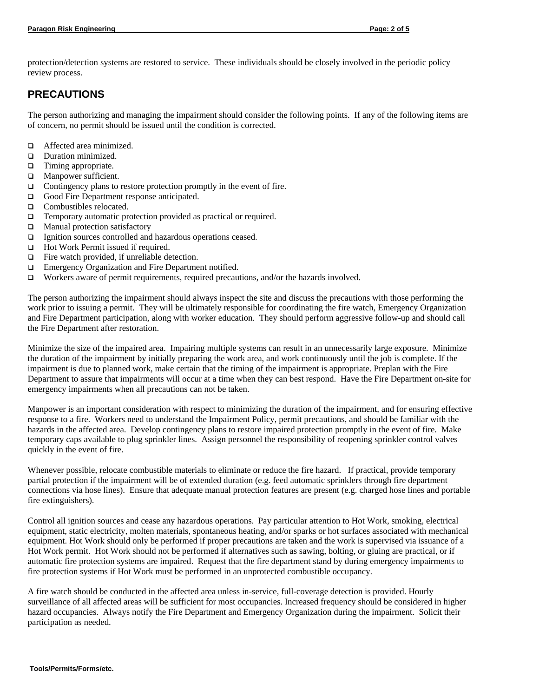protection/detection systems are restored to service. These individuals should be closely involved in the periodic policy review process.

#### **PRECAUTIONS**

The person authorizing and managing the impairment should consider the following points. If any of the following items are of concern, no permit should be issued until the condition is corrected.

- $\Box$  Affected area minimized.
- **D** Duration minimized.
- $\Box$  Timing appropriate.
- $\Box$  Manpower sufficient.
- $\Box$  Contingency plans to restore protection promptly in the event of fire.
- Good Fire Department response anticipated.
- □ Combustibles relocated.
- Temporary automatic protection provided as practical or required.
- $\Box$  Manual protection satisfactory
- Ignition sources controlled and hazardous operations ceased.
- □ Hot Work Permit issued if required.
- $\Box$  Fire watch provided, if unreliable detection.
- **Emergency Organization and Fire Department notified.**
- $\Box$  Workers aware of permit requirements, required precautions, and/or the hazards involved.

The person authorizing the impairment should always inspect the site and discuss the precautions with those performing the work prior to issuing a permit. They will be ultimately responsible for coordinating the fire watch, Emergency Organization and Fire Department participation, along with worker education. They should perform aggressive follow-up and should call the Fire Department after restoration.

Minimize the size of the impaired area. Impairing multiple systems can result in an unnecessarily large exposure. Minimize the duration of the impairment by initially preparing the work area, and work continuously until the job is complete. If the impairment is due to planned work, make certain that the timing of the impairment is appropriate. Preplan with the Fire Department to assure that impairments will occur at a time when they can best respond. Have the Fire Department on-site for emergency impairments when all precautions can not be taken.

Manpower is an important consideration with respect to minimizing the duration of the impairment, and for ensuring effective response to a fire. Workers need to understand the Impairment Policy, permit precautions, and should be familiar with the hazards in the affected area. Develop contingency plans to restore impaired protection promptly in the event of fire. Make temporary caps available to plug sprinkler lines. Assign personnel the responsibility of reopening sprinkler control valves quickly in the event of fire.

Whenever possible, relocate combustible materials to eliminate or reduce the fire hazard. If practical, provide temporary partial protection if the impairment will be of extended duration (e.g. feed automatic sprinklers through fire department connections via hose lines). Ensure that adequate manual protection features are present (e.g. charged hose lines and portable fire extinguishers).

Control all ignition sources and cease any hazardous operations. Pay particular attention to Hot Work, smoking, electrical equipment, static electricity, molten materials, spontaneous heating, and/or sparks or hot surfaces associated with mechanical equipment. Hot Work should only be performed if proper precautions are taken and the work is supervised via issuance of a Hot Work permit. Hot Work should not be performed if alternatives such as sawing, bolting, or gluing are practical, or if automatic fire protection systems are impaired. Request that the fire department stand by during emergency impairments to fire protection systems if Hot Work must be performed in an unprotected combustible occupancy.

A fire watch should be conducted in the affected area unless in-service, full-coverage detection is provided. Hourly surveillance of all affected areas will be sufficient for most occupancies. Increased frequency should be considered in higher hazard occupancies. Always notify the Fire Department and Emergency Organization during the impairment. Solicit their participation as needed.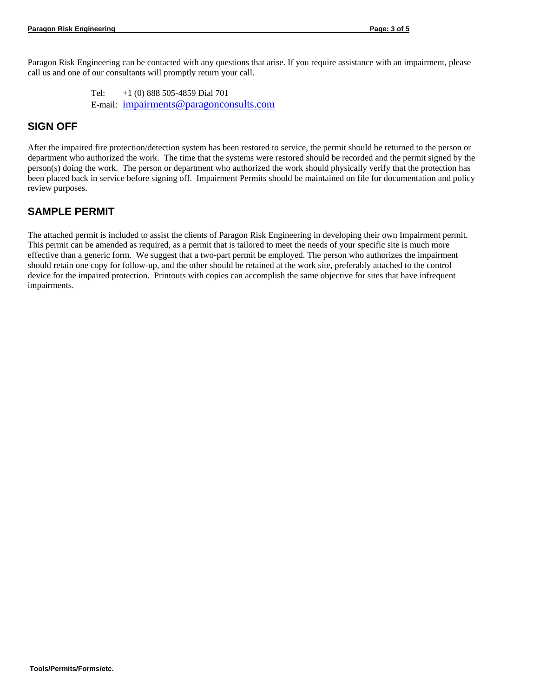Paragon Risk Engineering can be contacted with any questions that arise. If you require assistance with an impairment, please call us and one of our consultants will promptly return your call.

> Tel: +1 (0) 888 505-4859 Dial 701 E-mail: [impairments@paragonconsults.com](mailto:impairments@paragonconsults.com)

#### **SIGN OFF**

After the impaired fire protection/detection system has been restored to service, the permit should be returned to the person or department who authorized the work. The time that the systems were restored should be recorded and the permit signed by the person(s) doing the work. The person or department who authorized the work should physically verify that the protection has been placed back in service before signing off. Impairment Permits should be maintained on file for documentation and policy review purposes.

#### **SAMPLE PERMIT**

The attached permit is included to assist the clients of Paragon Risk Engineering in developing their own Impairment permit. This permit can be amended as required, as a permit that is tailored to meet the needs of your specific site is much more effective than a generic form. We suggest that a two-part permit be employed. The person who authorizes the impairment should retain one copy for follow-up, and the other should be retained at the work site, preferably attached to the control device for the impaired protection. Printouts with copies can accomplish the same objective for sites that have infrequent impairments.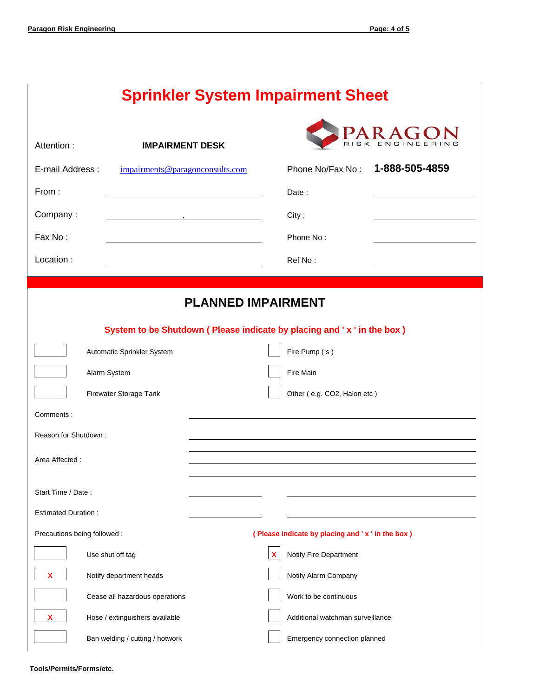# **Sprinkler System Impairment Sheet**

| Attention:<br>E-mail Address:<br>From:<br>Company:<br>Fax No:<br>Location: | <b>IMPAIRMENT DESK</b><br>impairments@paragonconsults.com |  |  | Phone No/Fax No:<br>Date:<br>City:<br>Phone No:<br>Ref No: | 1-888-505-4859 |  |  |
|----------------------------------------------------------------------------|-----------------------------------------------------------|--|--|------------------------------------------------------------|----------------|--|--|
| <b>PLANNED IMPAIRMENT</b>                                                  |                                                           |  |  |                                                            |                |  |  |
| System to be Shutdown (Please indicate by placing and 'x' in the box)      |                                                           |  |  |                                                            |                |  |  |
|                                                                            | Automatic Sprinkler System                                |  |  | Fire Pump (s)                                              |                |  |  |
|                                                                            | Alarm System                                              |  |  | Fire Main                                                  |                |  |  |
|                                                                            | Firewater Storage Tank                                    |  |  | Other (e.g. CO2, Halon etc)                                |                |  |  |
| Comments:                                                                  |                                                           |  |  |                                                            |                |  |  |
| Reason for Shutdown:                                                       |                                                           |  |  |                                                            |                |  |  |
| Area Affected:                                                             |                                                           |  |  |                                                            |                |  |  |
|                                                                            |                                                           |  |  |                                                            |                |  |  |
| Start Time / Date:                                                         |                                                           |  |  |                                                            |                |  |  |
| <b>Estimated Duration:</b>                                                 |                                                           |  |  |                                                            |                |  |  |
| Precautions being followed :                                               |                                                           |  |  | (Please indicate by placing and 'x' in the box)            |                |  |  |
|                                                                            | Use shut off tag                                          |  |  | Notify Fire Department                                     |                |  |  |
| x                                                                          | Notify department heads                                   |  |  | Notify Alarm Company                                       |                |  |  |
|                                                                            | Cease all hazardous operations                            |  |  | Work to be continuous                                      |                |  |  |
|                                                                            | Hose / extinguishers available                            |  |  | Additional watchman surveillance                           |                |  |  |
|                                                                            | Ban welding / cutting / hotwork                           |  |  | Emergency connection planned                               |                |  |  |